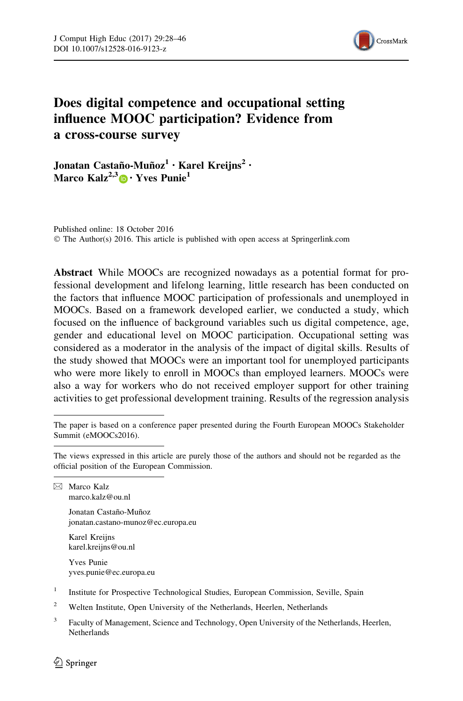

# Does digital competence and occupational setting influence MOOC participation? Evidence from a cross-course survey

Jonatan Castaño-Muñoz<sup>1</sup> • Karel Kreijns<sup>2</sup> • Marco Kalz<sup>2,3</sup> • Yves Punie<sup>1</sup>

Published online: 18 October 2016 © The Author(s) 2016. This article is published with open access at Springerlink.com

Abstract While MOOCs are recognized nowadays as a potential format for professional development and lifelong learning, little research has been conducted on the factors that influence MOOC participation of professionals and unemployed in MOOCs. Based on a framework developed earlier, we conducted a study, which focused on the influence of background variables such us digital competence, age, gender and educational level on MOOC participation. Occupational setting was considered as a moderator in the analysis of the impact of digital skills. Results of the study showed that MOOCs were an important tool for unemployed participants who were more likely to enroll in MOOCs than employed learners. MOOCs were also a way for workers who do not received employer support for other training activities to get professional development training. Results of the regression analysis

 $\boxtimes$  Marco Kalz marco.kalz@ou.nl

> Jonatan Castaño-Muñoz jonatan.castano-munoz@ec.europa.eu

Karel Kreijns karel.kreijns@ou.nl

Yves Punie yves.punie@ec.europa.eu

- <sup>1</sup> Institute for Prospective Technological Studies, European Commission, Seville, Spain
- <sup>2</sup> Welten Institute, Open University of the Netherlands, Heerlen, Netherlands
- <sup>3</sup> Faculty of Management, Science and Technology, Open University of the Netherlands, Heerlen, Netherlands

The paper is based on a conference paper presented during the Fourth European MOOCs Stakeholder Summit (eMOOCs2016).

The views expressed in this article are purely those of the authors and should not be regarded as the official position of the European Commission.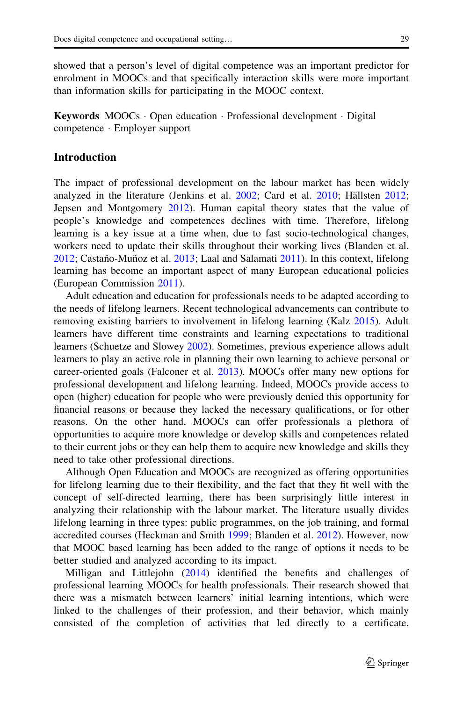showed that a person's level of digital competence was an important predictor for enrolment in MOOCs and that specifically interaction skills were more important than information skills for participating in the MOOC context.

Keywords MOOCs · Open education · Professional development · Digital competence - Employer support

## Introduction

The impact of professional development on the labour market has been widely analyzed in the literature (Jenkins et al.  $2002$ ; Card et al.  $2010$ ; Hällsten  $2012$ ; Jepsen and Montgomery [2012\)](#page-17-0). Human capital theory states that the value of people's knowledge and competences declines with time. Therefore, lifelong learning is a key issue at a time when, due to fast socio-technological changes, workers need to update their skills throughout their working lives (Blanden et al. [2012;](#page-16-0) Castaño-Muñoz et al. [2013](#page-16-0); Laal and Salamati [2011](#page-17-0)). In this context, lifelong learning has become an important aspect of many European educational policies (European Commission [2011\)](#page-17-0).

Adult education and education for professionals needs to be adapted according to the needs of lifelong learners. Recent technological advancements can contribute to removing existing barriers to involvement in lifelong learning (Kalz [2015](#page-17-0)). Adult learners have different time constraints and learning expectations to traditional learners (Schuetze and Slowey [2002\)](#page-17-0). Sometimes, previous experience allows adult learners to play an active role in planning their own learning to achieve personal or career-oriented goals (Falconer et al. [2013\)](#page-17-0). MOOCs offer many new options for professional development and lifelong learning. Indeed, MOOCs provide access to open (higher) education for people who were previously denied this opportunity for financial reasons or because they lacked the necessary qualifications, or for other reasons. On the other hand, MOOCs can offer professionals a plethora of opportunities to acquire more knowledge or develop skills and competences related to their current jobs or they can help them to acquire new knowledge and skills they need to take other professional directions.

Although Open Education and MOOCs are recognized as offering opportunities for lifelong learning due to their flexibility, and the fact that they fit well with the concept of self-directed learning, there has been surprisingly little interest in analyzing their relationship with the labour market. The literature usually divides lifelong learning in three types: public programmes, on the job training, and formal accredited courses (Heckman and Smith [1999](#page-17-0); Blanden et al. [2012\)](#page-16-0). However, now that MOOC based learning has been added to the range of options it needs to be better studied and analyzed according to its impact.

Milligan and Littlejohn ([2014\)](#page-17-0) identified the benefits and challenges of professional learning MOOCs for health professionals. Their research showed that there was a mismatch between learners' initial learning intentions, which were linked to the challenges of their profession, and their behavior, which mainly consisted of the completion of activities that led directly to a certificate.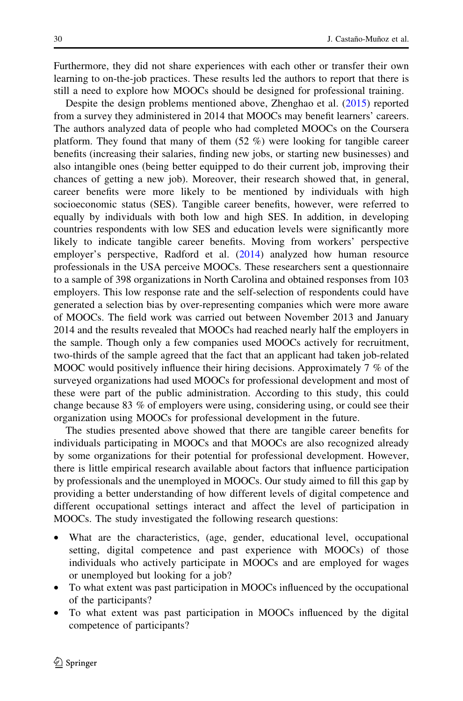Furthermore, they did not share experiences with each other or transfer their own learning to on-the-job practices. These results led the authors to report that there is still a need to explore how MOOCs should be designed for professional training.

Despite the design problems mentioned above, Zhenghao et al. [\(2015](#page-18-0)) reported from a survey they administered in 2014 that MOOCs may benefit learners' careers. The authors analyzed data of people who had completed MOOCs on the Coursera platform. They found that many of them  $(52 \%)$  were looking for tangible career benefits (increasing their salaries, finding new jobs, or starting new businesses) and also intangible ones (being better equipped to do their current job, improving their chances of getting a new job). Moreover, their research showed that, in general, career benefits were more likely to be mentioned by individuals with high socioeconomic status (SES). Tangible career benefits, however, were referred to equally by individuals with both low and high SES. In addition, in developing countries respondents with low SES and education levels were significantly more likely to indicate tangible career benefits. Moving from workers' perspective employer's perspective, Radford et al. [\(2014](#page-17-0)) analyzed how human resource professionals in the USA perceive MOOCs. These researchers sent a questionnaire to a sample of 398 organizations in North Carolina and obtained responses from 103 employers. This low response rate and the self-selection of respondents could have generated a selection bias by over-representing companies which were more aware of MOOCs. The field work was carried out between November 2013 and January 2014 and the results revealed that MOOCs had reached nearly half the employers in the sample. Though only a few companies used MOOCs actively for recruitment, two-thirds of the sample agreed that the fact that an applicant had taken job-related MOOC would positively influence their hiring decisions. Approximately 7 % of the surveyed organizations had used MOOCs for professional development and most of these were part of the public administration. According to this study, this could change because 83 % of employers were using, considering using, or could see their organization using MOOCs for professional development in the future.

The studies presented above showed that there are tangible career benefits for individuals participating in MOOCs and that MOOCs are also recognized already by some organizations for their potential for professional development. However, there is little empirical research available about factors that influence participation by professionals and the unemployed in MOOCs. Our study aimed to fill this gap by providing a better understanding of how different levels of digital competence and different occupational settings interact and affect the level of participation in MOOCs. The study investigated the following research questions:

- What are the characteristics, (age, gender, educational level, occupational setting, digital competence and past experience with MOOCs) of those individuals who actively participate in MOOCs and are employed for wages or unemployed but looking for a job?
- To what extent was past participation in MOOCs influenced by the occupational of the participants?
- To what extent was past participation in MOOCs influenced by the digital competence of participants?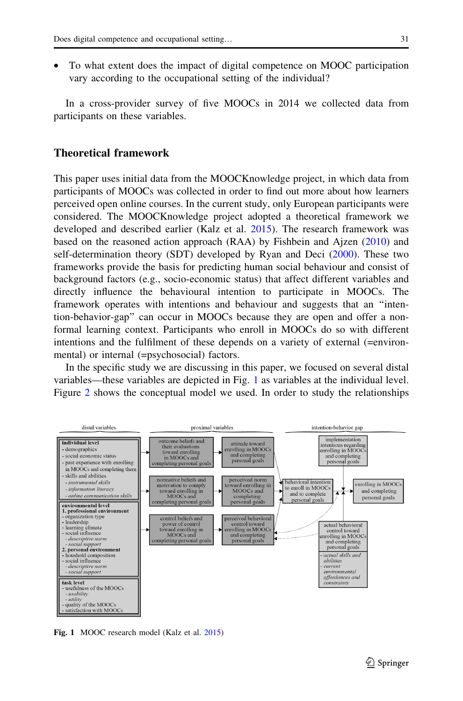• To what extent does the impact of digital competence on MOOC participation vary according to the occupational setting of the individual?

In a cross-provider survey of five MOOCs in 2014 we collected data from participants on these variables.

# Theoretical framework

This paper uses initial data from the MOOCKnowledge project, in which data from participants of MOOCs was collected in order to find out more about how learners perceived open online courses. In the current study, only European participants were considered. The MOOCKnowledge project adopted a theoretical framework we developed and described earlier (Kalz et al. [2015](#page-17-0)). The research framework was based on the reasoned action approach (RAA) by Fishbein and Ajzen ([2010\)](#page-17-0) and self-determination theory (SDT) developed by Ryan and Deci ([2000\)](#page-17-0). These two frameworks provide the basis for predicting human social behaviour and consist of background factors (e.g., socio-economic status) that affect different variables and directly influence the behavioural intention to participate in MOOCs. The framework operates with intentions and behaviour and suggests that an ''intention-behavior-gap'' can occur in MOOCs because they are open and offer a nonformal learning context. Participants who enroll in MOOCs do so with different intentions and the fulfilment of these depends on a variety of external (=environmental) or internal (=psychosocial) factors.

In the specific study we are discussing in this paper, we focused on several distal variables—these variables are depicted in Fig. 1 as variables at the individual level. Figure [2](#page-4-0) shows the conceptual model we used. In order to study the relationships



Fig. 1 MOOC research model (Kalz et al. [2015\)](#page-17-0)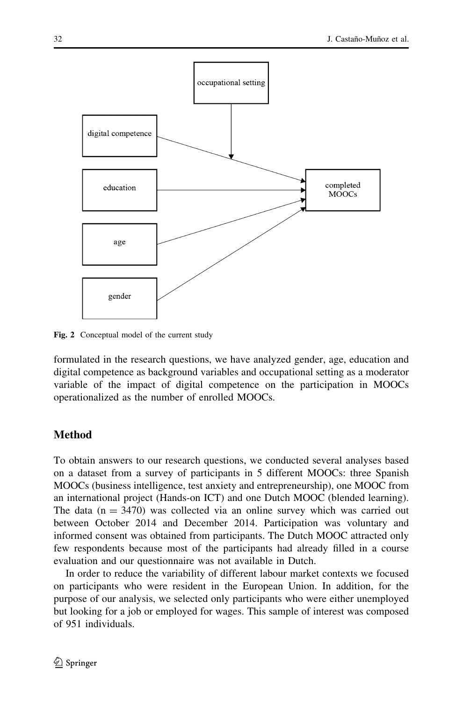<span id="page-4-0"></span>

Fig. 2 Conceptual model of the current study

formulated in the research questions, we have analyzed gender, age, education and digital competence as background variables and occupational setting as a moderator variable of the impact of digital competence on the participation in MOOCs operationalized as the number of enrolled MOOCs.

# **Method**

To obtain answers to our research questions, we conducted several analyses based on a dataset from a survey of participants in 5 different MOOCs: three Spanish MOOCs (business intelligence, test anxiety and entrepreneurship), one MOOC from an international project (Hands-on ICT) and one Dutch MOOC (blended learning). The data  $(n = 3470)$  was collected via an online survey which was carried out between October 2014 and December 2014. Participation was voluntary and informed consent was obtained from participants. The Dutch MOOC attracted only few respondents because most of the participants had already filled in a course evaluation and our questionnaire was not available in Dutch.

In order to reduce the variability of different labour market contexts we focused on participants who were resident in the European Union. In addition, for the purpose of our analysis, we selected only participants who were either unemployed but looking for a job or employed for wages. This sample of interest was composed of 951 individuals.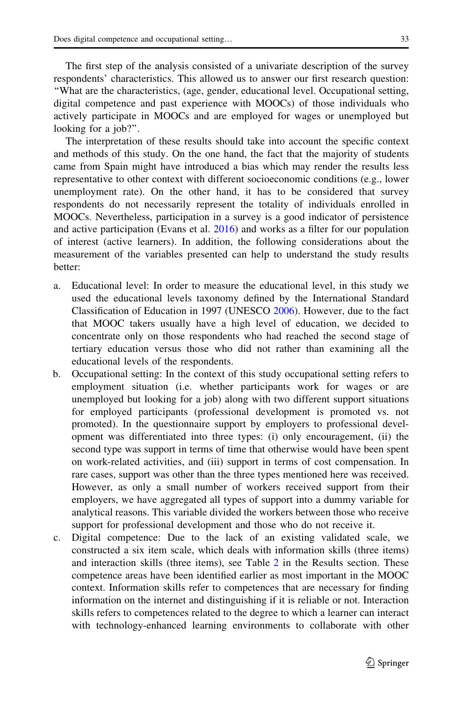The first step of the analysis consisted of a univariate description of the survey respondents' characteristics. This allowed us to answer our first research question: ''What are the characteristics, (age, gender, educational level. Occupational setting, digital competence and past experience with MOOCs) of those individuals who actively participate in MOOCs and are employed for wages or unemployed but looking for a job?''.

The interpretation of these results should take into account the specific context and methods of this study. On the one hand, the fact that the majority of students came from Spain might have introduced a bias which may render the results less representative to other context with different socioeconomic conditions (e.g., lower unemployment rate). On the other hand, it has to be considered that survey respondents do not necessarily represent the totality of individuals enrolled in MOOCs. Nevertheless, participation in a survey is a good indicator of persistence and active participation (Evans et al. [2016\)](#page-17-0) and works as a filter for our population of interest (active learners). In addition, the following considerations about the measurement of the variables presented can help to understand the study results better:

- a. Educational level: In order to measure the educational level, in this study we used the educational levels taxonomy defined by the International Standard Classification of Education in 1997 (UNESCO [2006\)](#page-17-0). However, due to the fact that MOOC takers usually have a high level of education, we decided to concentrate only on those respondents who had reached the second stage of tertiary education versus those who did not rather than examining all the educational levels of the respondents.
- b. Occupational setting: In the context of this study occupational setting refers to employment situation (i.e. whether participants work for wages or are unemployed but looking for a job) along with two different support situations for employed participants (professional development is promoted vs. not promoted). In the questionnaire support by employers to professional development was differentiated into three types: (i) only encouragement, (ii) the second type was support in terms of time that otherwise would have been spent on work-related activities, and (iii) support in terms of cost compensation. In rare cases, support was other than the three types mentioned here was received. However, as only a small number of workers received support from their employers, we have aggregated all types of support into a dummy variable for analytical reasons. This variable divided the workers between those who receive support for professional development and those who do not receive it.
- c. Digital competence: Due to the lack of an existing validated scale, we constructed a six item scale, which deals with information skills (three items) and interaction skills (three items), see Table [2](#page-10-0) in the Results section. These competence areas have been identified earlier as most important in the MOOC context. Information skills refer to competences that are necessary for finding information on the internet and distinguishing if it is reliable or not. Interaction skills refers to competences related to the degree to which a learner can interact with technology-enhanced learning environments to collaborate with other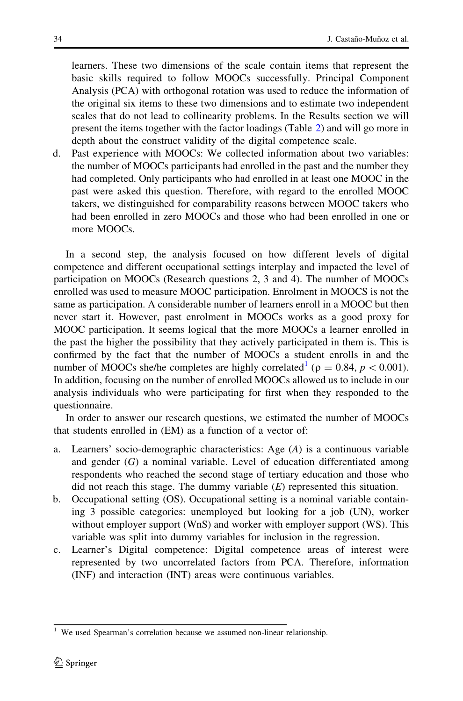learners. These two dimensions of the scale contain items that represent the basic skills required to follow MOOCs successfully. Principal Component Analysis (PCA) with orthogonal rotation was used to reduce the information of the original six items to these two dimensions and to estimate two independent scales that do not lead to collinearity problems. In the Results section we will present the items together with the factor loadings (Table [2\)](#page-10-0) and will go more in depth about the construct validity of the digital competence scale.

d. Past experience with MOOCs: We collected information about two variables: the number of MOOCs participants had enrolled in the past and the number they had completed. Only participants who had enrolled in at least one MOOC in the past were asked this question. Therefore, with regard to the enrolled MOOC takers, we distinguished for comparability reasons between MOOC takers who had been enrolled in zero MOOCs and those who had been enrolled in one or more MOOCs.

In a second step, the analysis focused on how different levels of digital competence and different occupational settings interplay and impacted the level of participation on MOOCs (Research questions 2, 3 and 4). The number of MOOCs enrolled was used to measure MOOC participation. Enrolment in MOOCS is not the same as participation. A considerable number of learners enroll in a MOOC but then never start it. However, past enrolment in MOOCs works as a good proxy for MOOC participation. It seems logical that the more MOOCs a learner enrolled in the past the higher the possibility that they actively participated in them is. This is confirmed by the fact that the number of MOOCs a student enrolls in and the number of MOOCs she/he completes are highly correlated<sup>1</sup> ( $\rho = 0.84$ ,  $p < 0.001$ ). In addition, focusing on the number of enrolled MOOCs allowed us to include in our analysis individuals who were participating for first when they responded to the questionnaire.

In order to answer our research questions, we estimated the number of MOOCs that students enrolled in (EM) as a function of a vector of:

- a. Learners' socio-demographic characteristics: Age (A) is a continuous variable and gender (G) a nominal variable. Level of education differentiated among respondents who reached the second stage of tertiary education and those who did not reach this stage. The dummy variable  $(E)$  represented this situation.
- b. Occupational setting (OS). Occupational setting is a nominal variable containing 3 possible categories: unemployed but looking for a job (UN), worker without employer support (WnS) and worker with employer support (WS). This variable was split into dummy variables for inclusion in the regression.
- c. Learner's Digital competence: Digital competence areas of interest were represented by two uncorrelated factors from PCA. Therefore, information (INF) and interaction (INT) areas were continuous variables.

<sup>&</sup>lt;sup>1</sup> We used Spearman's correlation because we assumed non-linear relationship.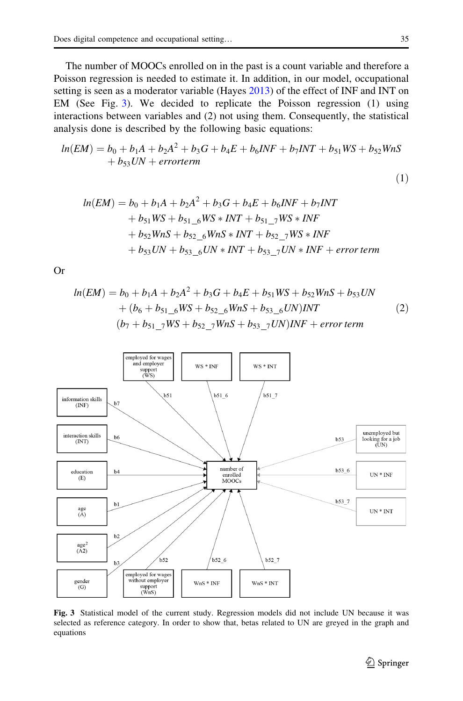The number of MOOCs enrolled on in the past is a count variable and therefore a Poisson regression is needed to estimate it. In addition, in our model, occupational setting is seen as a moderator variable (Hayes [2013](#page-17-0)) of the effect of INF and INT on EM (See Fig. 3). We decided to replicate the Poisson regression (1) using interactions between variables and (2) not using them. Consequently, the statistical analysis done is described by the following basic equations:

$$
ln(EM) = b_0 + b_1A + b_2A^2 + b_3G + b_4E + b_6INF + b_7INT + b_{51}WS + b_{52}WnS + b_{53}UN + errorterm
$$

$$
ln(EM) = b_0 + b_1A + b_2A^2 + b_3G + b_4E + b_6INF + b_7INT
$$
  
+  $b_{51}WS + b_{51-6}WS * INT + b_{51-7}WS * INF$   
+  $b_{52}WnS + b_{52-6}WnS * INT + b_{52-7}WS * INF$   
+  $b_{53}UN + b_{53-6}UN * INT + b_{53-7}UN * INF + error term$ 

Or

$$
ln(EM) = b_0 + b_1A + b_2A^2 + b_3G + b_4E + b_{51}WS + b_{52}WnS + b_{53}UN + (b_6 + b_{51}\_6WS + b_{52}\_6WnS + b_{53}\_6UN)INT
$$
 (2)  

$$
(b_7 + b_{51}\_7WS + b_{52}\_7WnS + b_{53}\_7UN)INF + error term
$$



Fig. 3 Statistical model of the current study. Regression models did not include UN because it was selected as reference category. In order to show that, betas related to UN are greyed in the graph and equations

 $(1)$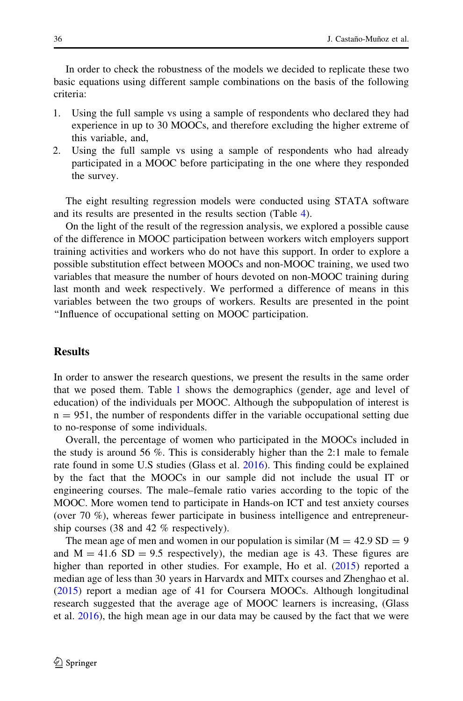In order to check the robustness of the models we decided to replicate these two basic equations using different sample combinations on the basis of the following criteria:

- 1. Using the full sample vs using a sample of respondents who declared they had experience in up to 30 MOOCs, and therefore excluding the higher extreme of this variable, and,
- 2. Using the full sample vs using a sample of respondents who had already participated in a MOOC before participating in the one where they responded the survey.

The eight resulting regression models were conducted using STATA software and its results are presented in the results section (Table [4\)](#page-13-0).

On the light of the result of the regression analysis, we explored a possible cause of the difference in MOOC participation between workers witch employers support training activities and workers who do not have this support. In order to explore a possible substitution effect between MOOCs and non-MOOC training, we used two variables that measure the number of hours devoted on non-MOOC training during last month and week respectively. We performed a difference of means in this variables between the two groups of workers. Results are presented in the point ''Influence of occupational setting on MOOC participation.

## **Results**

In order to answer the research questions, we present the results in the same order that we posed them. Table [1](#page-9-0) shows the demographics (gender, age and level of education) of the individuals per MOOC. Although the subpopulation of interest is  $n = 951$ , the number of respondents differ in the variable occupational setting due to no-response of some individuals.

Overall, the percentage of women who participated in the MOOCs included in the study is around 56 %. This is considerably higher than the 2:1 male to female rate found in some U.S studies (Glass et al. [2016\)](#page-18-0). This finding could be explained by the fact that the MOOCs in our sample did not include the usual IT or engineering courses. The male–female ratio varies according to the topic of the MOOC. More women tend to participate in Hands-on ICT and test anxiety courses (over 70 %), whereas fewer participate in business intelligence and entrepreneurship courses (38 and 42 % respectively).

The mean age of men and women in our population is similar  $(M = 42.9 S D = 9$ and  $M = 41.6$  SD = 9.5 respectively), the median age is 43. These figures are higher than reported in other studies. For example, Ho et al. [\(2015](#page-17-0)) reported a median age of less than 30 years in Harvardx and MITx courses and Zhenghao et al. [\(2015](#page-18-0)) report a median age of 41 for Coursera MOOCs. Although longitudinal research suggested that the average age of MOOC learners is increasing, (Glass et al. [2016\)](#page-18-0), the high mean age in our data may be caused by the fact that we were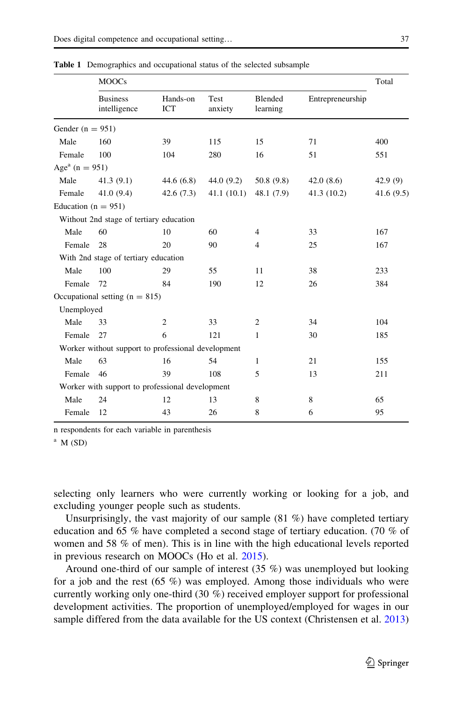|                            | <b>MOOCs</b>                                       |                 |                 |                     |                  | Total     |
|----------------------------|----------------------------------------------------|-----------------|-----------------|---------------------|------------------|-----------|
|                            | <b>Business</b><br>intelligence                    | Hands-on<br>ICT | Test<br>anxiety | Blended<br>learning | Entrepreneurship |           |
| Gender $(n = 951)$         |                                                    |                 |                 |                     |                  |           |
| Male                       | 160                                                | 39              | 115             | 15                  | 71               | 400       |
| Female                     | 100                                                | 104             | 280             | 16                  | 51               | 551       |
| Age <sup>a</sup> (n = 951) |                                                    |                 |                 |                     |                  |           |
| Male                       | 41.3(9.1)                                          | 44.6(6.8)       | 44.0(9.2)       | 50.8(9.8)           | 42.0(8.6)        | 42.9(9)   |
| Female                     | 41.0(9.4)                                          | 42.6(7.3)       | 41.1(10.1)      | 48.1 (7.9)          | 41.3(10.2)       | 41.6(9.5) |
| Education ( $n = 951$ )    |                                                    |                 |                 |                     |                  |           |
|                            | Without 2nd stage of tertiary education            |                 |                 |                     |                  |           |
| Male                       | 60                                                 | 10              | 60              | $\overline{4}$      | 33               | 167       |
| Female                     | 28                                                 | 20              | 90              | $\overline{4}$      | 25               | 167       |
|                            | With 2nd stage of tertiary education               |                 |                 |                     |                  |           |
| Male                       | 100                                                | 29              | 55              | 11                  | 38               | 233       |
| Female                     | 72                                                 | 84              | 190             | 12                  | 26               | 384       |
|                            | Occupational setting $(n = 815)$                   |                 |                 |                     |                  |           |
| Unemployed                 |                                                    |                 |                 |                     |                  |           |
| Male                       | 33                                                 | $\overline{2}$  | 33              | 2                   | 34               | 104       |
| Female                     | 27                                                 | 6               | 121             | $\mathbf{1}$        | 30               | 185       |
|                            | Worker without support to professional development |                 |                 |                     |                  |           |
| Male                       | 63                                                 | 16              | 54              | $\mathbf{1}$        | 21               | 155       |
| Female                     | 46                                                 | 39              | 108             | 5                   | 13               | 211       |
|                            | Worker with support to professional development    |                 |                 |                     |                  |           |
| Male                       | 24                                                 | 12              | 13              | 8                   | 8                | 65        |
| Female                     | 12                                                 | 43              | 26              | 8                   | 6                | 95        |

<span id="page-9-0"></span>Table 1 Demographics and occupational status of the selected subsample

n respondents for each variable in parenthesis

 $^{\rm a}$  M (SD)

selecting only learners who were currently working or looking for a job, and excluding younger people such as students.

Unsurprisingly, the vast majority of our sample (81 %) have completed tertiary education and 65 % have completed a second stage of tertiary education. (70 % of women and 58 % of men). This is in line with the high educational levels reported in previous research on MOOCs (Ho et al. [2015](#page-17-0)).

Around one-third of our sample of interest (35 %) was unemployed but looking for a job and the rest (65 %) was employed. Among those individuals who were currently working only one-third (30 %) received employer support for professional development activities. The proportion of unemployed/employed for wages in our sample differed from the data available for the US context (Christensen et al. [2013](#page-16-0))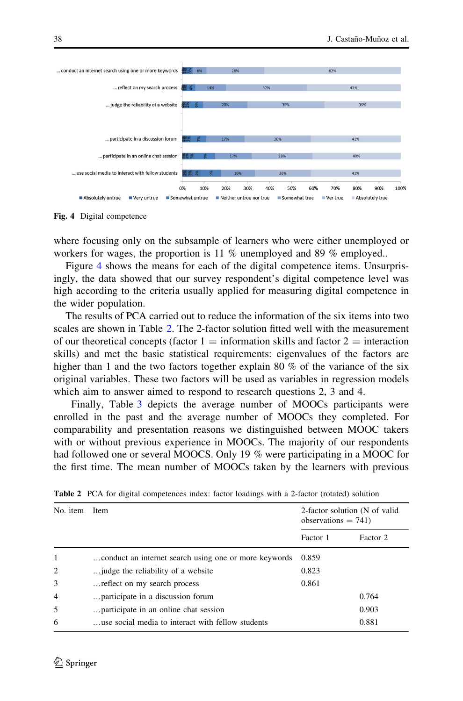<span id="page-10-0"></span>

Fig. 4 Digital competence

where focusing only on the subsample of learners who were either unemployed or workers for wages, the proportion is 11 % unemployed and 89 % employed...

Figure 4 shows the means for each of the digital competence items. Unsurprisingly, the data showed that our survey respondent's digital competence level was high according to the criteria usually applied for measuring digital competence in the wider population.

The results of PCA carried out to reduce the information of the six items into two scales are shown in Table 2. The 2-factor solution fitted well with the measurement of our theoretical concepts (factor  $1 =$  information skills and factor  $2 =$  interaction skills) and met the basic statistical requirements: eigenvalues of the factors are higher than 1 and the two factors together explain 80 % of the variance of the six original variables. These two factors will be used as variables in regression models which aim to answer aimed to respond to research questions 2, 3 and 4.

Finally, Table [3](#page-11-0) depicts the average number of MOOCs participants were enrolled in the past and the average number of MOOCs they completed. For comparability and presentation reasons we distinguished between MOOC takers with or without previous experience in MOOCs. The majority of our respondents had followed one or several MOOCS. Only 19 % were participating in a MOOC for the first time. The mean number of MOOCs taken by the learners with previous

| No. <i>item</i> | Item                                                  | observations $= 741$ ) | 2-factor solution (N of valid |
|-----------------|-------------------------------------------------------|------------------------|-------------------------------|
|                 |                                                       | Factor 1               | Factor 2                      |
| 1               | conduct an internet search using one or more keywords | 0.859                  |                               |
| 2               | judge the reliability of a website                    | 0.823                  |                               |
| 3               | reflect on my search process.                         | 0.861                  |                               |
| $\overline{4}$  | participate in a discussion forum                     |                        | 0.764                         |
| 5               | participate in an online chat session                 |                        | 0.903                         |
| 6               | use social media to interact with fellow students     |                        | 0.881                         |

Table 2 PCA for digital competences index: factor loadings with a 2-factor (rotated) solution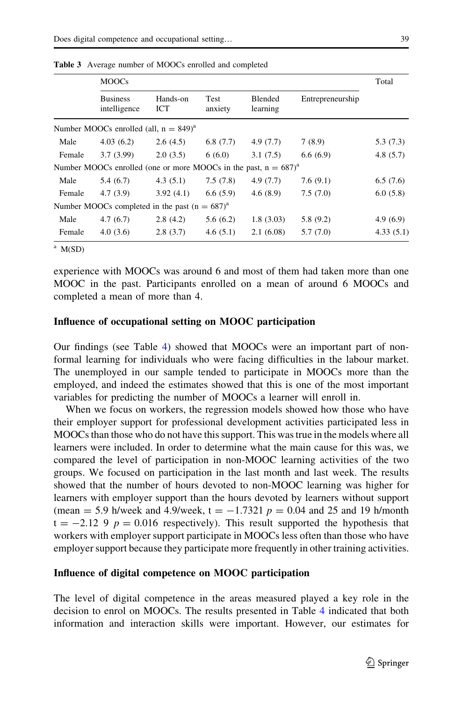|                                 | rage number of MOOCs enrolled and completed      |                             |                                                |                  |                      |
|---------------------------------|--------------------------------------------------|-----------------------------|------------------------------------------------|------------------|----------------------|
| MOOCs                           |                                                  |                             |                                                |                  | Total                |
| <b>Business</b><br>intelligence | Hands-on<br>ICT                                  | <b>Test</b><br>anxiety      | Blended<br>learning                            | Entrepreneurship |                      |
|                                 | $DCs$ enrolled (all, $n = 849)^a$ )              |                             |                                                |                  |                      |
|                                 | $\overline{100}$ $\overline{20}$ $\overline{10}$ | $\sim$ $\sim$ $\sim$ $\sim$ | $\lambda$ $\alpha$ $\lambda$ $\alpha$ $\alpha$ | $\sim$ $\sim$    | $\sim$ $\sim$ $\sim$ |

<span id="page-11-0"></span>Table 3 Average number

intelligence Number MOOCs enrolled Male 4.03 (6.2) 2.6 (4.5) 6.8 (7.7) 4.9 (7.7) 7 (8.9) 5.3 (7.3) Female  $3.7 \ (3.99)$   $2.0 \ (3.5)$   $6 \ (6.0)$   $3.1 \ (7.5)$   $6.6 \ (6.9)$   $4.8 \ (5.7)$ Number MOOCs enrolled (one or more MOOCs in the past,  $n = 687$ )<sup>a</sup> Male 5.4 (6.7) 4.3 (5.1) 7.5 (7.8) 4.9 (7.7) 7.6 (9.1) 6.5 (7.6) Female  $4.7 \ (3.9)$   $3.92 \ (4.1)$   $6.6 \ (5.9)$   $4.6 \ (8.9)$   $7.5 \ (7.0)$   $6.0 \ (5.8)$ Number MOOCs completed in the past  $(n = 687)^{a}$ Male 4.7 (6.7) 2.8 (4.2) 5.6 (6.2) 1.8 (3.03) 5.8 (9.2) 4.9 (6.9) Female 4.0 (3.6) 2.8 (3.7) 4.6 (5.1) 2.1 (6.08) 5.7 (7.0) 4.33 (5.1)

 $^{\rm a}$  M(SD)

experience with MOOCs was around 6 and most of them had taken more than one MOOC in the past. Participants enrolled on a mean of around 6 MOOCs and completed a mean of more than 4.

#### Influence of occupational setting on MOOC participation

Our findings (see Table [4\)](#page-13-0) showed that MOOCs were an important part of nonformal learning for individuals who were facing difficulties in the labour market. The unemployed in our sample tended to participate in MOOCs more than the employed, and indeed the estimates showed that this is one of the most important variables for predicting the number of MOOCs a learner will enroll in.

When we focus on workers, the regression models showed how those who have their employer support for professional development activities participated less in MOOCs than those who do not have this support. This was true in the models where all learners were included. In order to determine what the main cause for this was, we compared the level of participation in non-MOOC learning activities of the two groups. We focused on participation in the last month and last week. The results showed that the number of hours devoted to non-MOOC learning was higher for learners with employer support than the hours devoted by learners without support (mean = 5.9 h/week and 4.9/week,  $t = -1.7321$   $p = 0.04$  and 25 and 19 h/month  $t = -2.12$  9  $p = 0.016$  respectively). This result supported the hypothesis that workers with employer support participate in MOOCs less often than those who have employer support because they participate more frequently in other training activities.

#### Influence of digital competence on MOOC participation

The level of digital competence in the areas measured played a key role in the decision to enrol on MOOCs. The results presented in Table [4](#page-13-0) indicated that both information and interaction skills were important. However, our estimates for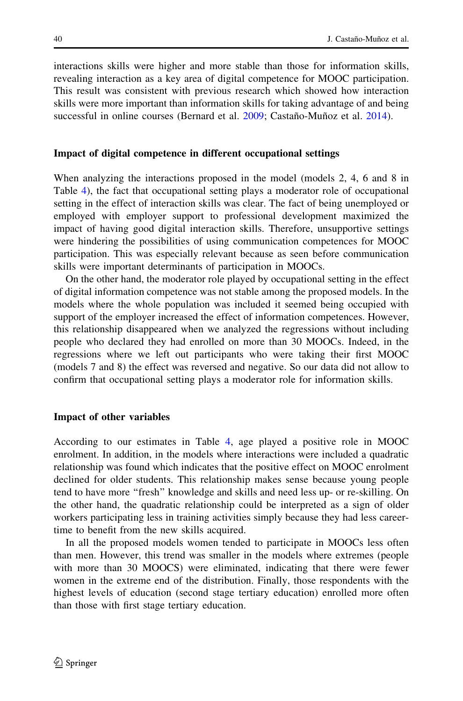interactions skills were higher and more stable than those for information skills, revealing interaction as a key area of digital competence for MOOC participation. This result was consistent with previous research which showed how interaction skills were more important than information skills for taking advantage of and being successful in online courses (Bernard et al. [2009;](#page-16-0) Castaño-Muñoz et al. [2014\)](#page-16-0).

#### Impact of digital competence in different occupational settings

When analyzing the interactions proposed in the model (models 2, 4, 6 and 8 in Table [4](#page-13-0)), the fact that occupational setting plays a moderator role of occupational setting in the effect of interaction skills was clear. The fact of being unemployed or employed with employer support to professional development maximized the impact of having good digital interaction skills. Therefore, unsupportive settings were hindering the possibilities of using communication competences for MOOC participation. This was especially relevant because as seen before communication skills were important determinants of participation in MOOCs.

On the other hand, the moderator role played by occupational setting in the effect of digital information competence was not stable among the proposed models. In the models where the whole population was included it seemed being occupied with support of the employer increased the effect of information competences. However, this relationship disappeared when we analyzed the regressions without including people who declared they had enrolled on more than 30 MOOCs. Indeed, in the regressions where we left out participants who were taking their first MOOC (models 7 and 8) the effect was reversed and negative. So our data did not allow to confirm that occupational setting plays a moderator role for information skills.

#### Impact of other variables

According to our estimates in Table [4,](#page-13-0) age played a positive role in MOOC enrolment. In addition, in the models where interactions were included a quadratic relationship was found which indicates that the positive effect on MOOC enrolment declined for older students. This relationship makes sense because young people tend to have more ''fresh'' knowledge and skills and need less up- or re-skilling. On the other hand, the quadratic relationship could be interpreted as a sign of older workers participating less in training activities simply because they had less careertime to benefit from the new skills acquired.

In all the proposed models women tended to participate in MOOCs less often than men. However, this trend was smaller in the models where extremes (people with more than 30 MOOCS) were eliminated, indicating that there were fewer women in the extreme end of the distribution. Finally, those respondents with the highest levels of education (second stage tertiary education) enrolled more often than those with first stage tertiary education.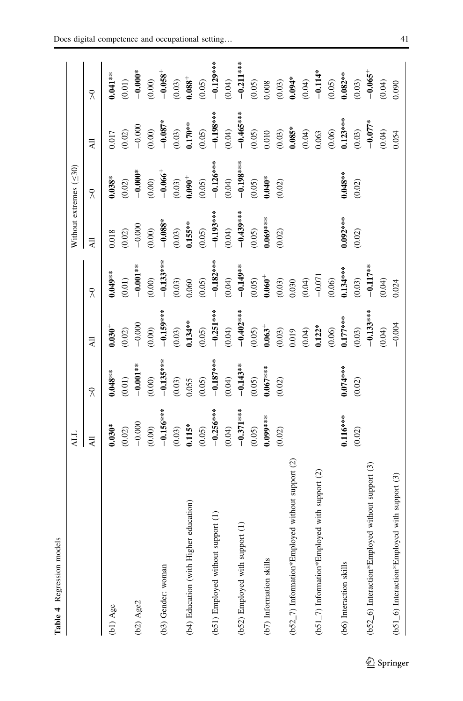<span id="page-13-0"></span>

|                                                     | ТTV         |                           |              |                       | Without extremes $(\leq 30)$ |                       |             |                       |
|-----------------------------------------------------|-------------|---------------------------|--------------|-----------------------|------------------------------|-----------------------|-------------|-----------------------|
|                                                     | Ę           | $\widetilde{\mathcal{R}}$ | Ę            | $\widetilde{\lambda}$ | 딓                            | $\widetilde{\lambda}$ | Ę           | $\widetilde{\lambda}$ |
| $(b1)$ Age                                          | $0.030*$    | $0.048***$                | $0.030^{+}$  | $0.049**$             | 0.018                        | $0.038**$             | 0.017       | $0.041**$             |
|                                                     | (0.02)      | (0.01)                    | (0.02)       | $(0.01)$              | (0.02)                       | $(0.02)$              | $(0.02)$    | (0.01)                |
| $(b2)$ Age2                                         | $-0.000$    | $-0.001**$                | $-0.000$     | $-0.001**$            | $-0.000$                     | $-0.000*$             | $-0.000$    | $-0.000\hbox{*}$      |
|                                                     | $(0.00)$    | $(0.00)$                  | $(0.00)$     | $(0.00)$              | (0.00)                       | $(0.00)$              | $(0.00)$    | $(0.00)$              |
| (b3) Gender: woman                                  | $-0.156***$ | $-0.135***$               | $-0.159***$  | $-0.133***$           | $-0.088*$                    | $-0.066^{+}$          | $-0.087*$   | $-0.058^{+}$          |
|                                                     | (0.03)      | $(0.03)$                  | (0.03)       | (0.03)                | (0.03)                       | (0.03)                | (0.03)      | (0.03)                |
| (b4) Education (with Higher education)              | $0.115*$    | 0.055                     | $0.134***$   | 0.060                 | $0.155***$                   | $0.090 +$             | $0.170***$  | $0.088^+$             |
|                                                     | (0.05)      | (0.05)                    | (0.05)       | $(0.05)$              | (0.05)                       | (0.05)                | (0.05)      | (0.05)                |
| (b51) Employed without support (1)                  | $-0.256***$ | $-0.187$ ***              | $-0.251***$  | $-0.182***$           | $-0.193***$                  | $-0.126***$           | $-0.198***$ | $-0.129***$           |
|                                                     | (0.04)      | (0.04)                    | (0.04)       | $(0.04)$              | (0.04)                       | (0.04)                | $(0.04)$    | (0.04)                |
| $\ominus$<br>(b52) Employed with support            | $-0.371***$ | $-0.143***$               | $-0.402$ *** | $-0.149**$            | $-0.439***$                  | $-0.198***$           | $-0.465***$ | $-0.211***$           |
|                                                     | (0.05)      | (0.05)                    | (0.05)       | $(0.05)$              | (0.05)                       | (0.05)                | $(0.05)$    | (0.05)                |
| (b7) Information skills                             | $0.099***$  | $0.067***$                | $0.063+$     | $0.060^{+}$           | $0.069***$                   | $0.040*$              | 0.010       | $0.008\,$             |
|                                                     | (0.02)      | (0.02)                    | (0.03)       | $(0.03)$              | (0.02)                       | (0.02)                | $(0.03)$    | (0.03)                |
| (b52_7) Information*Employed without support $(2)$  |             |                           | 0.019        | 0.030                 |                              |                       | $0.085*$    | $0.094*$              |
|                                                     |             |                           | (0.04)       | $(0.04)$              |                              |                       | (0.04)      | (0.04)                |
| (b51_7) Information*Employed with support (2)       |             |                           | $0.122*$     | $-0.071$              |                              |                       | 0.063       | $-0.114*$             |
|                                                     |             |                           | (0.06)       | $(0.06)$              |                              |                       | (0.06)      | (0.05)                |
| (b6) Interaction skills                             | $0.116***$  | $0.074***$                | $0.177***$   | $0.134***$            | $0.092***$                   | $0.048***$            | $0.123***$  | $0.082**$             |
|                                                     | (0.02)      | $(0.02)$                  | (0.03)       | $(0.03)$              | (0.02)                       | $(0.02)$              | (0.03)      | (0.03)                |
| without support (3)<br>(b52_6) Interaction*Employed |             |                           | $-0.133***$  | $-0.117***$           |                              |                       | $-0.077*$   | $-0.065$ <sup>+</sup> |
|                                                     |             |                           | (0.04)       | (0.04)                |                              |                       | (0.04)      | (0.04)                |
| with support (3)<br>(b51_6) Interaction*Employed    |             |                           | $-0.004$     | 0.024                 |                              |                       | 0.054       | 0.090                 |

Table 4 Regression models

Table 4 Regression models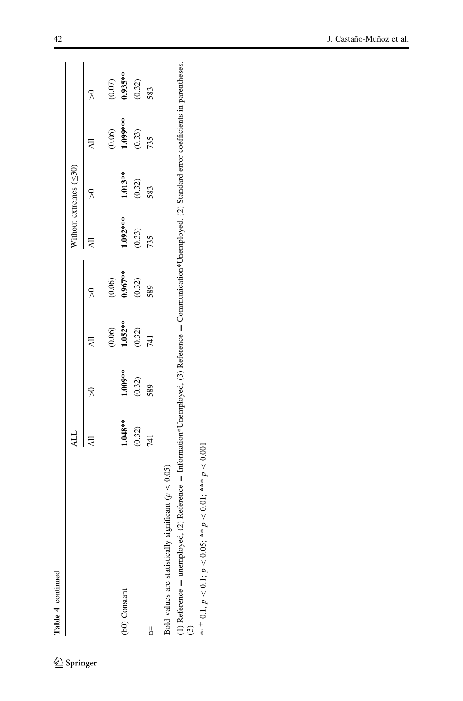| Table 4 continued                                        |                          |                            |                                                  |                                                    |                             |                              |                                       |                                        |
|----------------------------------------------------------|--------------------------|----------------------------|--------------------------------------------------|----------------------------------------------------|-----------------------------|------------------------------|---------------------------------------|----------------------------------------|
|                                                          | <b>ALL</b>               |                            |                                                  |                                                    |                             | Without extremes $(\leq 30)$ |                                       |                                        |
|                                                          | .<br>국                   | $\approx$                  | $\overline{z}$                                   | $\frac{1}{2}$                                      | .<br>국                      | $\frac{1}{2}$                | $\overline{A}$                        | $\sqrt{2}$                             |
|                                                          |                          |                            |                                                  |                                                    |                             |                              |                                       |                                        |
| (b0) Constant                                            |                          |                            | $(0.06)$<br>1.052 <sup>**</sup><br>(0.32)<br>741 | $(0.06)$<br>0.967 <sup>**</sup><br>$(0.32)$<br>589 |                             |                              | $(0.06)$<br>1.099***<br>(0.33)<br>735 | $(0.07)$<br>0.935**<br>$(0.32)$<br>583 |
|                                                          | 1.048**<br>(0.32)<br>741 | $1.009**$<br>(0.32)<br>589 |                                                  |                                                    | $1.092***$<br>(0.33)<br>735 | $1.013**$<br>(0.32)<br>583   |                                       |                                        |
| Щ                                                        |                          |                            |                                                  |                                                    |                             |                              |                                       |                                        |
| Bold values are statistically significant ( $p < 0.05$ ) |                          |                            |                                                  |                                                    |                             |                              |                                       |                                        |

 $2$  Springer

(1) Reference unemployed, (2) Reference Information\*Unemployed, (3) Reference || Communication\*Unemployed. (2) Standard error coefficients in parentheses. (3)

\*\* + 0.1,  $p < 0.1$ ;  $p < 0.05$ ; \*\*  $p < 0.01$ ; \*\*\*  $p < 0.001$ \*,  $^+$  0.1,  $p < 0.1$ ;  $p < 0.05$ ; \*\*  $p < 0.01$ ; \*\*\*  $p < 0.001$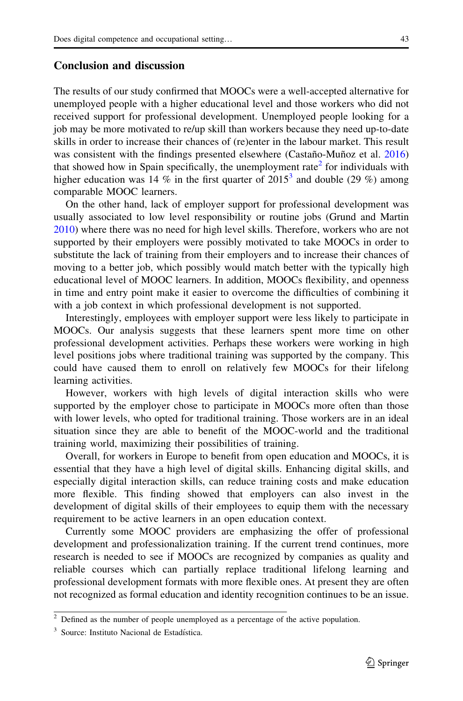## Conclusion and discussion

The results of our study confirmed that MOOCs were a well-accepted alternative for unemployed people with a higher educational level and those workers who did not received support for professional development. Unemployed people looking for a job may be more motivated to re/up skill than workers because they need up-to-date skills in order to increase their chances of (re)enter in the labour market. This result was consistent with the findings presented elsewhere (Castaño-Muñoz et al. [2016](#page-16-0)) that showed how in Spain specifically, the unemployment rate<sup>2</sup> for individuals with higher education was 14 % in the first quarter of  $2015^3$  and double (29 %) among comparable MOOC learners.

On the other hand, lack of employer support for professional development was usually associated to low level responsibility or routine jobs (Grund and Martin [2010\)](#page-17-0) where there was no need for high level skills. Therefore, workers who are not supported by their employers were possibly motivated to take MOOCs in order to substitute the lack of training from their employers and to increase their chances of moving to a better job, which possibly would match better with the typically high educational level of MOOC learners. In addition, MOOCs flexibility, and openness in time and entry point make it easier to overcome the difficulties of combining it with a job context in which professional development is not supported.

Interestingly, employees with employer support were less likely to participate in MOOCs. Our analysis suggests that these learners spent more time on other professional development activities. Perhaps these workers were working in high level positions jobs where traditional training was supported by the company. This could have caused them to enroll on relatively few MOOCs for their lifelong learning activities.

However, workers with high levels of digital interaction skills who were supported by the employer chose to participate in MOOCs more often than those with lower levels, who opted for traditional training. Those workers are in an ideal situation since they are able to benefit of the MOOC-world and the traditional training world, maximizing their possibilities of training.

Overall, for workers in Europe to benefit from open education and MOOCs, it is essential that they have a high level of digital skills. Enhancing digital skills, and especially digital interaction skills, can reduce training costs and make education more flexible. This finding showed that employers can also invest in the development of digital skills of their employees to equip them with the necessary requirement to be active learners in an open education context.

Currently some MOOC providers are emphasizing the offer of professional development and professionalization training. If the current trend continues, more research is needed to see if MOOCs are recognized by companies as quality and reliable courses which can partially replace traditional lifelong learning and professional development formats with more flexible ones. At present they are often not recognized as formal education and identity recognition continues to be an issue.

 $2$  Defined as the number of people unemployed as a percentage of the active population.

<sup>&</sup>lt;sup>3</sup> Source: Instituto Nacional de Estadística.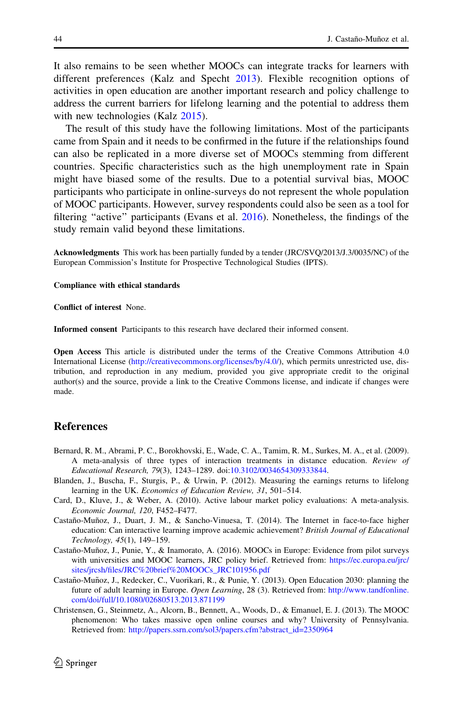<span id="page-16-0"></span>It also remains to be seen whether MOOCs can integrate tracks for learners with different preferences (Kalz and Specht [2013\)](#page-17-0). Flexible recognition options of activities in open education are another important research and policy challenge to address the current barriers for lifelong learning and the potential to address them with new technologies (Kalz [2015\)](#page-17-0).

The result of this study have the following limitations. Most of the participants came from Spain and it needs to be confirmed in the future if the relationships found can also be replicated in a more diverse set of MOOCs stemming from different countries. Specific characteristics such as the high unemployment rate in Spain might have biased some of the results. Due to a potential survival bias, MOOC participants who participate in online-surveys do not represent the whole population of MOOC participants. However, survey respondents could also be seen as a tool for filtering "active" participants (Evans et al. [2016](#page-17-0)). Nonetheless, the findings of the study remain valid beyond these limitations.

Acknowledgments This work has been partially funded by a tender (JRC/SVQ/2013/J.3/0035/NC) of the European Commission's Institute for Prospective Technological Studies (IPTS).

#### Compliance with ethical standards

Conflict of interest None.

Informed consent Participants to this research have declared their informed consent.

Open Access This article is distributed under the terms of the Creative Commons Attribution 4.0 International License ([http://creativecommons.org/licenses/by/4.0/\)](http://creativecommons.org/licenses/by/4.0/), which permits unrestricted use, distribution, and reproduction in any medium, provided you give appropriate credit to the original author(s) and the source, provide a link to the Creative Commons license, and indicate if changes were made.

## **References**

- Bernard, R. M., Abrami, P. C., Borokhovski, E., Wade, C. A., Tamim, R. M., Surkes, M. A., et al. (2009). A meta-analysis of three types of interaction treatments in distance education. Review of Educational Research, 79(3), 1243–1289. doi:[10.3102/0034654309333844](http://dx.doi.org/10.3102/0034654309333844).
- Blanden, J., Buscha, F., Sturgis, P., & Urwin, P. (2012). Measuring the earnings returns to lifelong learning in the UK. Economics of Education Review, 31, 501–514.
- Card, D., Kluve, J., & Weber, A. (2010). Active labour market policy evaluations: A meta-analysis. Economic Journal, 120, F452–F477.
- Castaño-Muñoz, J., Duart, J. M., & Sancho-Vinuesa, T. (2014). The Internet in face-to-face higher education: Can interactive learning improve academic achievement? British Journal of Educational Technology, 45(1), 149–159.
- Castaño-Muñoz, J., Punie, Y., & Inamorato, A. (2016). MOOCs in Europe: Evidence from pilot surveys with universities and MOOC learners, JRC policy brief. Retrieved from: [https://ec.europa.eu/jrc/](https://ec.europa.eu/jrc/sites/jrcsh/files/JRC%20brief%20MOOCs_JRC101956.pdf) [sites/jrcsh/files/JRC%20brief%20MOOCs\\_JRC101956.pdf](https://ec.europa.eu/jrc/sites/jrcsh/files/JRC%20brief%20MOOCs_JRC101956.pdf)
- Castaño-Muñoz, J., Redecker, C., Vuorikari, R., & Punie, Y. (2013). Open Education 2030: planning the future of adult learning in Europe. Open Learning, 28 (3). Retrieved from: [http://www.tandfonline.](http://www.tandfonline.com/doi/full/10.1080/02680513.2013.871199) [com/doi/full/10.1080/02680513.2013.871199](http://www.tandfonline.com/doi/full/10.1080/02680513.2013.871199)
- Christensen, G., Steinmetz, A., Alcorn, B., Bennett, A., Woods, D., & Emanuel, E. J. (2013). The MOOC phenomenon: Who takes massive open online courses and why? University of Pennsylvania. Retrieved from: [http://papers.ssrn.com/sol3/papers.cfm?abstract\\_id=2350964](http://papers.ssrn.com/sol3/papers.cfm%3fabstract_id%3d2350964)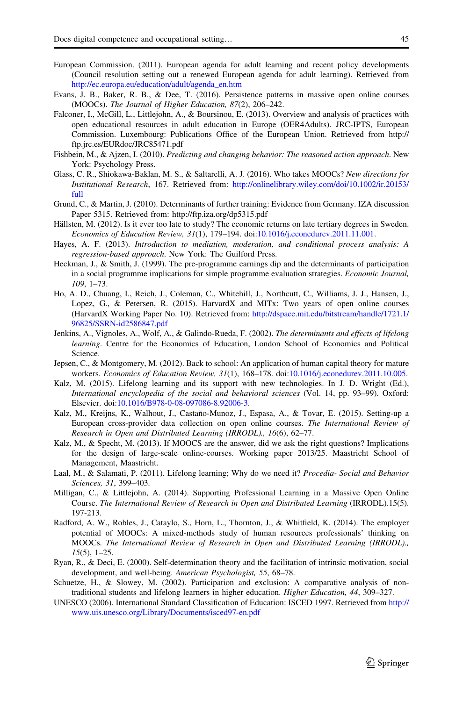- <span id="page-17-0"></span>European Commission. (2011). European agenda for adult learning and recent policy developments (Council resolution setting out a renewed European agenda for adult learning). Retrieved from [http://ec.europa.eu/education/adult/agenda\\_en.htm](http://ec.europa.eu/education/adult/agenda_en.htm)
- Evans, J. B., Baker, R. B., & Dee, T. (2016). Persistence patterns in massive open online courses (MOOCs). The Journal of Higher Education, 87(2), 206–242.
- Falconer, I., McGill, L., Littlejohn, A., & Boursinou, E. (2013). Overview and analysis of practices with open educational resources in adult education in Europe (OER4Adults). JRC-IPTS, European Commission. Luxembourg: Publications Office of the European Union. Retrieved from http:// ftp.jrc.es/EURdoc/JRC85471.pdf
- Fishbein, M., & Ajzen, I. (2010). Predicting and changing behavior: The reasoned action approach. New York: Psychology Press.
- Glass, C. R., Shiokawa-Baklan, M. S., & Saltarelli, A. J. (2016). Who takes MOOCs? New directions for Institutional Research, 167. Retrieved from: [http://onlinelibrary.wiley.com/doi/10.1002/ir.20153/](http://onlinelibrary.wiley.com/doi/10.1002/ir.20153/full) [full](http://onlinelibrary.wiley.com/doi/10.1002/ir.20153/full)
- Grund, C., & Martin, J. (2010). Determinants of further training: Evidence from Germany. IZA discussion Paper 5315. Retrieved from: http://ftp.iza.org/dp5315.pdf
- Hällsten, M. (2012). Is it ever too late to study? The economic returns on late tertiary degrees in Sweden. Economics of Education Review, 31(1), 179–194. doi[:10.1016/j.econedurev.2011.11.001](http://dx.doi.org/10.1016/j.econedurev.2011.11.001).
- Hayes, A. F. (2013). Introduction to mediation, moderation, and conditional process analysis: A regression-based approach. New York: The Guilford Press.
- Heckman, J., & Smith, J. (1999). The pre-programme earnings dip and the determinants of participation in a social programme implications for simple programme evaluation strategies. Economic Journal, 109, 1–73.
- Ho, A. D., Chuang, I., Reich, J., Coleman, C., Whitehill, J., Northcutt, C., Williams, J. J., Hansen, J., Lopez, G., & Petersen, R. (2015). HarvardX and MITx: Two years of open online courses (HarvardX Working Paper No. 10). Retrieved from: [http://dspace.mit.edu/bitstream/handle/1721.1/](http://dspace.mit.edu/bitstream/handle/1721.1/96825/SSRN-id2586847.pdf) [96825/SSRN-id2586847.pdf](http://dspace.mit.edu/bitstream/handle/1721.1/96825/SSRN-id2586847.pdf)
- Jenkins, A., Vignoles, A., Wolf, A., & Galindo-Rueda, F. (2002). The determinants and effects of lifelong learning. Centre for the Economics of Education, London School of Economics and Political Science.
- Jepsen, C., & Montgomery, M. (2012). Back to school: An application of human capital theory for mature workers. Economics of Education Review, 31(1), 168–178. doi:[10.1016/j.econedurev.2011.10.005](http://dx.doi.org/10.1016/j.econedurev.2011.10.005).
- Kalz, M. (2015). Lifelong learning and its support with new technologies. In J. D. Wright (Ed.), International encyclopedia of the social and behavioral sciences (Vol. 14, pp. 93–99). Oxford: Elsevier. doi[:10.1016/B978-0-08-097086-8.92006-3](http://dx.doi.org/10.1016/B978-0-08-097086-8.92006-3).
- Kalz, M., Kreijns, K., Walhout, J., Castaño-Munoz, J., Espasa, A., & Tovar, E. (2015). Setting-up a European cross-provider data collection on open online courses. The International Review of Research in Open and Distributed Learning (IRRODL)., 16(6), 62–77.
- Kalz, M., & Specht, M. (2013). If MOOCS are the answer, did we ask the right questions? Implications for the design of large-scale online-courses. Working paper 2013/25. Maastricht School of Management, Maastricht.
- Laal, M., & Salamati, P. (2011). Lifelong learning; Why do we need it? Procedia- Social and Behavior Sciences, 31, 399–403.
- Milligan, C., & Littlejohn, A. (2014). Supporting Professional Learning in a Massive Open Online Course. The International Review of Research in Open and Distributed Learning (IRRODL).15(5). 197-213.
- Radford, A. W., Robles, J., Cataylo, S., Horn, L., Thornton, J., & Whitfield, K. (2014). The employer potential of MOOCs: A mixed-methods study of human resources professionals' thinking on MOOCs. The International Review of Research in Open and Distributed Learning (IRRODL).,  $15(5)$ , 1-25.
- Ryan, R., & Deci, E. (2000). Self-determination theory and the facilitation of intrinsic motivation, social development, and well-being. American Psychologist, 55, 68–78.
- Schuetze, H., & Slowey, M. (2002). Participation and exclusion: A comparative analysis of nontraditional students and lifelong learners in higher education. Higher Education, 44, 309–327.
- UNESCO (2006). International Standard Classification of Education: ISCED 1997. Retrieved from [http://](http://www.uis.unesco.org/Library/Documents/isced97-en.pdf) [www.uis.unesco.org/Library/Documents/isced97-en.pdf](http://www.uis.unesco.org/Library/Documents/isced97-en.pdf)